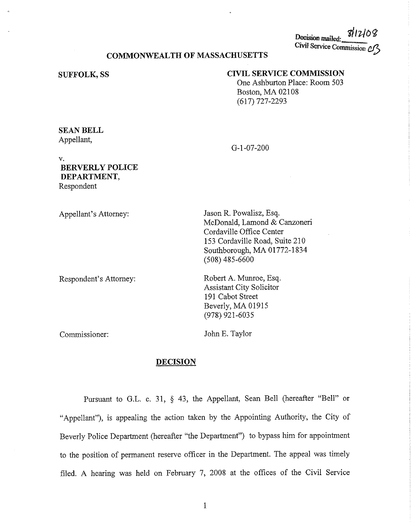Decision mailed: 3/12/08 Civil Service Commission *Cf* 

# COMMONWEALTH OF MASSACHUSETTS

#### **SUFFOLK,SS**

### **CIVIL SERVICE COMMISSION**

One Ashburton Place: Room 503 Boston, MA 02108 (617) 727-2293

# **SEAN BELL**  Appellant,

G-1-07-200

# V. **BERVERLY POLICE DEPARTMENT,**  Respondent

Appellant's Attorney: Respondent's Attorney: Jason R. Powalisz, Esq. McDonald, Lamond & Canzoneri Cordaville Office Center 153 Cordaville Road, Suite 210 Southborough, MA 01772-1834 (508) 485-6600 Robert A. Munroe, Esq. Assistant City Solicitor 191 Cabot Street Beverly, MA 01915 (978) 921-603 5

Commissioner:

John E. Taylor

### **DECISION**

Pursuant to G.L. c. 31, § 43, the Appellant, Sean Bell (hereafter "Bell" or "Appellant"), is appealing the action taken by the Appointing Authority, the City of Beverly Police Department (hereafter "the Department") to bypass him for appointment to the position of permanent reserve officer in the Department. The appeal was timely filed. A hearing was held on February 7, 2008 at the offices of the Civil Service

I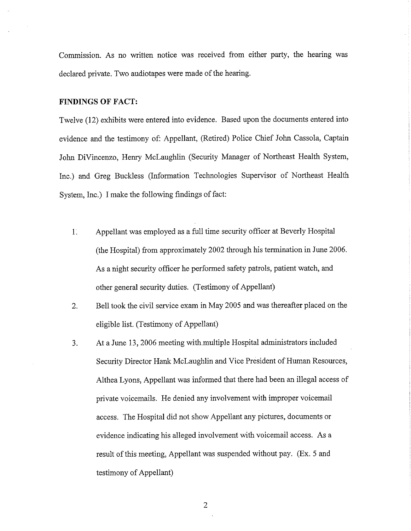Commission. As no written notice was received from either party, the hearing was declared private. Two audiotapes were made of the hearing.

#### **FINDINGS OF FACT:**

Twelve ( 12) exhibits were entered into evidence. Based upon the documents entered into evidence and the testimony of: Appellant, (Retired) Police Chief John Cassola, Captain John DiVincenzo, Henry McLaughlin (Security Manager of Northeast Health System, Inc.) and Greg Buckless (Information Technologies Supervisor of Northeast Health System, Inc.) I make the following findings of fact:

- 1. Appellant was employed as a full time security officer at Beverly Hospital (the Hospital) from approximately 2002 through his termination in June 2006. As a night security officer he performed safety patrols, patient watch, and other general security duties. (Testimony of Appellant)
- 2. Bell took the civil service exam in May 2005 and was thereafter placed on the eligible list. (Testimony of Appellant)
- 3. At a June 13, 2006 meeting with multiple Hospital administrators included Security Director Hank McLaughlin and Vice President of Human Resources, Althea Lyons, Appellant was informed that there had been an illegal access of private voicemails. He denied any involvement with improper voicemail access. The Hospital did not show Appellant any pictures, documents or evidence indicating his alleged involvement with voicemail access. As a result of this meeting, Appellant was suspended without pay. (Ex. 5 and testimony of Appellant)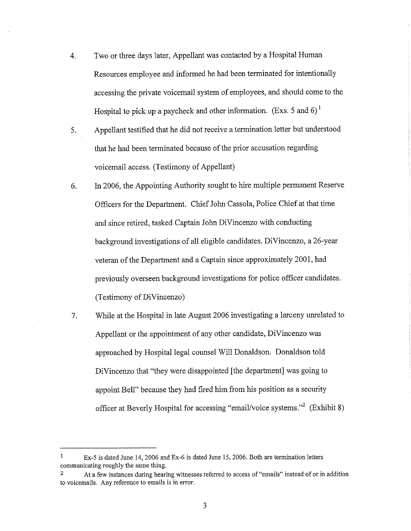- 4. Two or three days later, Appellant was contacted by a Hospital Human Resources employee and informed he had been terminated for intentionally accessing the private voicemail system of employees, and should come to the Hospital to pick up a paycheck and other information. (Exs. 5 and 6)<sup>1</sup>
- 5. Appellant testified that he did not receive a termination letter but understood that he had been terminated because of the prior accusation regarding voicemail access. (Testimony of Appellant)
- 6. In 2006, the Appointing Authority sought to hire multiple permanent Reserve Officers for the Department. Chief John Cassola, Police Chief at that time and since retired, tasked Captain John DiVincenzo with conducting background investigations of all eligible candidates. DiVincenzo, a 26-year veteran of the Department and a Captain since approximately 200 I, had previously overseen background investigations for police officer candidates. (Testimony of DiVincenzo)
- 7. While at the Hospital in late August 2006 investigating a larceny umelated to Appellant or the appointment of any other candidate, DiVincenzo was approached by Hospital legal counsel Will Donaldson. Donaldson told DiVincenzo that "they were disappointed [the department] was going to appoint Bell" because they had fired him from his position as a security officer at Beverly Hospital for accessing "email/voice systems."<sup>2</sup> (Exhibit 8)

<sup>1</sup> Ex-5 is dated June 14, 2006 and Ex-6 is dated June 15, 2006. Both are termination letters communicating roughly the same thing.

<sup>2</sup> At a few instances during hearing witnesses referred to access of "emails" instead of or in addition **to voicemails. Any reference to emails is in error.**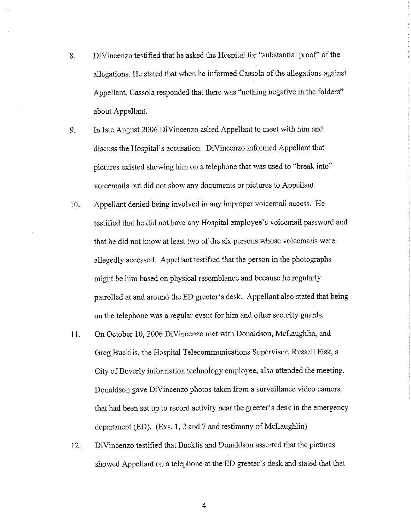- 8. DiVincenzo testified that he asked the Hospital for "substantial proof' of the allegations. He stated that when he informed Cassola of the allegations against Appellant, Cassola responded that there was "nothing negative in the folders" about Appellant.
- 9. In late August 2006 DiVincenzo asked Appellant to meet with him and discuss the Hospital's accusation. DiVincenzo informed Appellant that pictures existed showing him on a telephone that was used to "break into" voicemails but did not show any documents or pictures to Appellant.
- 10. Appellant denied being involved in any improper voicemail access. He testified that he did not have any Hospital employee's voicemail password and that he did not know at least two of the six persons whose voicemails were allegedly accessed. Appellant testified that the person in the photographs might be him based on physical resemblance and because he regularly patrolled at and around the ED greeter's desk. Appellant also stated that being on the telephone was a regular event for him and other security guards.
- 11. On October 10, 2006 DiVincenzo met with Donaldson, McLaughlin, and Greg Bucklis, the Hospital Telecommunications Supervisor. Russell Fisk, a City of Beverly information technology employee, also attended the meeting. Donaldson gave DiVincenzo photos taken from a surveillance video camera that had been set up to record activity near the greeter's desk in the emergency department (ED). (Exs. 1, 2 and 7 and testimony of McLaughlin)
- 12. DiVincenzo testified that Bucklis and Donaldson asserted that the pictures showed Appellant on a telephone at the ED greeter's desk and stated that that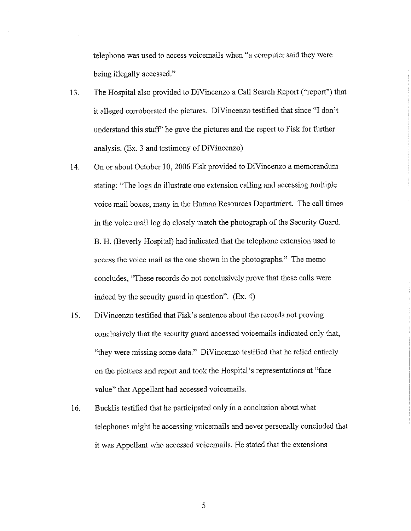telephone was used to access voicemails when "a computer said they were being illegally accessed."

- 13. The Hospital also provided to DiVincenzo a Call Search Report ("report") that it alleged corroborated the pictures. DiVincenzo testified that since "I don't understand this stuff' he gave the pictures and the report to Fisk for further analysis. (Ex. 3 and testimony of DiVincenzo)
- 14. On or about October 10, 2006 Fisk provided to DiVincenzo a memorandum stating: "The logs do illustrate one extension calling and accessing multiple voice mail boxes, many in the Human Resources Department. The call times in the voice mail log do closely match the photograph of the Security Guard. B. H. (Beverly Hospital) had indicated that the telephone extension used to access the voice mail as the one shown in the photographs." The memo concludes, "These records do not conclusively prove that these calls were indeed by the security guard in question". (Ex. 4)
- 15. DiVincenzo testified that Fisk's sentence about the records not proving conclusively that the security guard accessed voicemails indicated only that, "they were missing some data." DiVincenzo testified that he relied entirely on the pictures and report and took the Hospital's representations at "face value" that Appellant had accessed voicemails.
- 16. Bucklis testified that he participated only in a conclusion about what telephones might be accessing voicemails and never personally concluded that it was Appellant who accessed voicemails. He stated that the extensions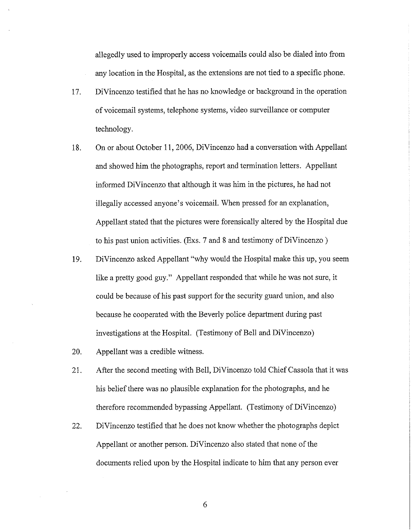allegedly used to improperly access voicemails could also be dialed into from any location in the Hospital, as the extensions are not tied to a specific phone.

- 17. Di Vincenzo testified that he has no knowledge or background in the operation of voicemail systems, telephone systems, video surveillance or computer technology.
- 18. On or about October 11, 2006, DiVincenzo had a conversation with Appellant and showed him the photographs, report and termination letters. Appellant informed DiVincenzo that although it was him in the pictures, he had not illegally accessed anyone's voicemail. When pressed for an explanation, Appellant stated that the pictures were forensically altered by the Hospital due to his past union activities. (Exs. 7 and 8 and testimony of DiVincenzo )
- 19. DiVincenzo asked Appellant "why would the Hospital make this up, you seem like a pretty good guy." Appellant responded that while he was not sure, it could be because of his past support for the security guard union, and also because he cooperated with the Beverly police department during past investigations at the Hospital. (Testimony of Bell and DiVincenzo)
- 20. Appellant was a credible witness.
- 21. After the second meeting with Bell, DiVincenzo told Chief Cassola that it was his belief there was no plausible explanation for the photographs, and he therefore recommended bypassing Appellant. (Testimony of DiVincenzo)
- 22. Di Vincenzo testified that he does not know whether the photographs depict Appellant or another person. DiVincenzo also stated that none of the documents relied upon by the Hospital indicate to him that any person ever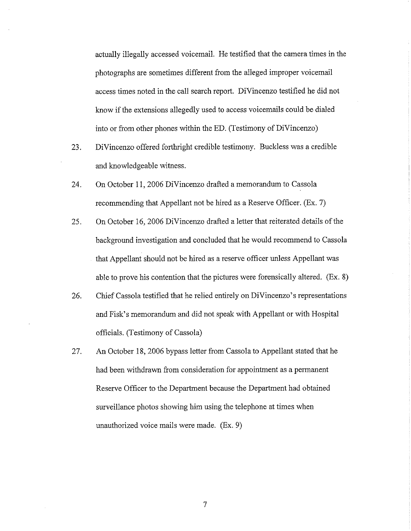actually illegally accessed voicemail. He testified that the camera times in the photographs are sometimes different from the alleged improper voicemail access times noted in the call search report. DiVincenzo testified he did not know if the extensions allegedly used to access voicemails could be dialed into or from other phones within the ED. (Testimony of DiVincenzo)

- 23. DiVincenzo offered forthright credible testimony. Buckless was a credible and knowledgeable witness.
- 24. On October 11, 2006 DiVincenzo drafted a memorandum to Cassola recommending that Appellant not be hired as a Reserve Officer. (Ex. 7)
- 25. On October 16, 2006 DiVincenzo drafted a letter that reiterated details of the background investigation and concluded that he would recommend to Cassola that Appellant should not be hired as a reserve officer unless Appellant was able to prove his contention that the pictures were forensically altered. (Ex. 8)
- 26. Chief Cassola testified that he relied entirely on DiVincenzo's representations and Fisk's memorandum and did not speak with Appellant or with Hospital officials. (Testimony of Cassola)
- 27. An October 18, 2006 bypass letter from Cassola to Appellant stated that he had been withdrawn from consideration for appointment as a permanent Reserve Officer to the Department because the Department had obtained surveillance photos showing him using the telephone at times when unauthorized voice mails were made. (Ex. 9)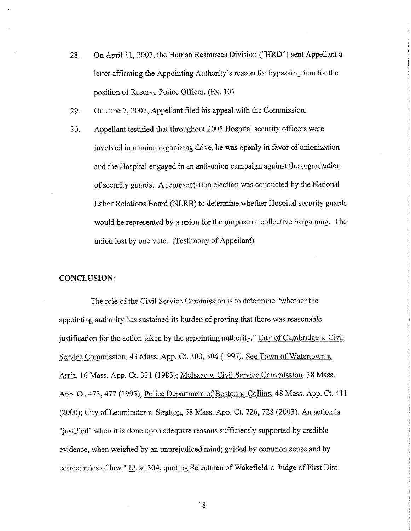- 28. On April 11, 2007, the Human Resources Division ("HRD") sent Appellant a letter affirming the Appointing Authority's reason for bypassing him for the position of Reserve Police Officer. (Ex. 10)
- 29. On June 7, 2007, Appellant filed his appeal with the Commission.
- 30. Appellant testified that throughout 2005 Hospital security officers were involved in a union organizing drive, he was openly in favor of unionization and the Hospital engaged in an anti-union campaign against the organization of security guards. A representation election was conducted by the National Labor Relations Board (NLRB) to determine whether Hospital security guards would be represented by a union for the purpose of collective bargaining. The union lost by one vote. (Testimony of Appellant)

### **CONCLUSION:**

The role of the Civil Service Commission is to determine "whether the appointing authority has sustained its burden of proving that there was reasonable justification for the action taken by the appointing authority." City of Cambridge  $\nu$ . Civil Service Commission. 43 Mass. App. Ct. 300,304 *(1997).* See Town of Watertown *v.*  Arria, 16 Mass. App. Ct. 331 (1983); Mclsaac v. Civil Service Commission, 38 Mass. App. Ct. 473,477 (1995); Police Department of Boston *v.* Collins, 48 Mass. App. Ct. 411 (2000); City of Leominster *v.* Stratton, 58 Mass. App. Ct. 726, 728 (2003). An action is "justified" when it is done upon adequate reasons sufficiently supported by credible evidence, when weighed by an unprejudiced mind; guided by common sense and by correct rules of law." Id. at 304, quoting Selectmen of Wakefield *v*. Judge of First Dist.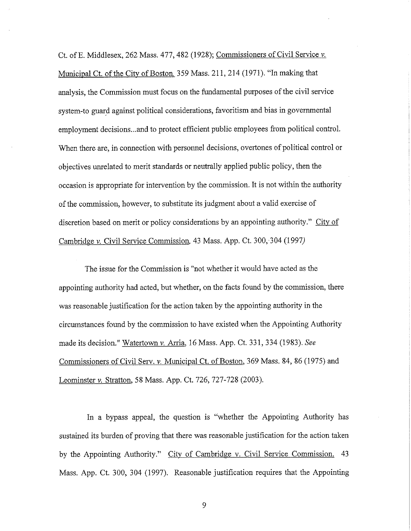Ct. of E. Middlesex, 262 Mass. 477, 482 (1928); Commissioners of Civil Service v. Municipal Ct. of the City of Boston, 359 Mass. 211,214 (1971). "In making that analysis, the Commission must focus on the fundamental purposes of the civil service system-to guard against political considerations, favoritism and bias in governmental employment decisions ... and to protect efficient public employees from political control. When there are, in connection with personnel decisions, overtones of political control or objectives unrelated to merit standards or neutrally applied public policy, then the occasion is appropriate for intervention by the commission. It is not within the authority of the commission, however, to substitute its judgment about a valid exercise of discretion based on merit or policy considerations by an appointing authority." City of Cambridge *v.* Civil Service Commission, 43 Mass. App. Ct. 300, 304 (1997)

The issue for the Commission is "not whether it would have acted as the appointing authority had acted, but whether, on the facts found by the commission, there was reasonable justification for the action taken by the appointing authority in the circumstances found by the commission to have existed when the Appointing Authority made its decision." Watertown *v.* Arria, 16 Mass. App. Ct. 331,334 (1983). *See*  Commissioners of Civil Serv. *v.* Municipal Ct. of Boston, 369 Mass. 84, 86 (1975) and Leominster *v.* Stratton, 58 Mass. App. Ct. 726, 727-728 (2003).

In a bypass appeal, the question is "whether the Appointing Authority has sustained its burden of proving that there was reasonable justification for the action taken by the Appointing Authority." City of Cambridge v. Civil Service Commission. 43 Mass. App. Ct. 300, 304 (1997). Reasonable justification requires that the Appointing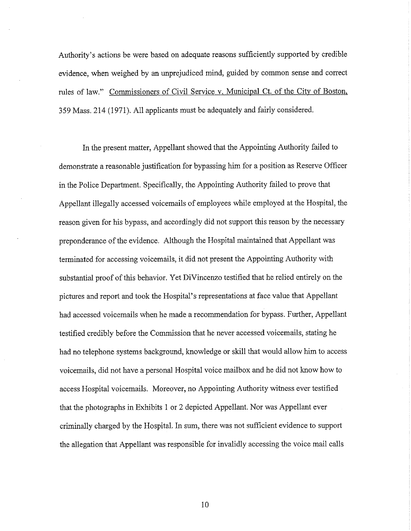Authority's actions be were based on adequate reasons sufficiently supported by credible evidence, when weighed by an unprejudiced mind, guided by common sense and correct rules of law." Commissioners of Civil Service v. Municipal Ct. of the City of Boston. 359 Mass. 214 (1971). All applicants must be adequately and fairly considered.

In the present matter, Appellant showed that the Appointing Authority failed to demonstrate a reasonable justification for bypassing him for a position as Reserve Officer in the Police Department. Specifically, the Appointing Authority failed to prove that Appellant illegally accessed voicemails of employees while employed at the Hospital, the reason given for his bypass, and accordingly did not support this reason by the necessary preponderance of the evidence. Although the Hospital maintained that Appellant was terminated for accessing voicemails, it did not present the Appointing Authority with substantial proof of this behavior. Yet DiVincenzo testified that he relied entirely on the pictures and report and took the Hospital's representations at face value that Appellant had accessed voicemails when he made a recommendation for bypass. Further, Appellant testified credibly before the Commission that he never accessed voicemails, stating he had no telephone systems background, knowledge or skill that would allow him to access voicemails, did not have a personal Hospital voice mailbox and he did not know how to access Hospital voicemails. Moreover, no Appointing Authority witness ever testified that the photographs in Exhibits I or 2 depicted Appellant. Nor was Appellant ever criminally charged by the Hospital. In sum, there was not sufficient evidence to support the allegation that Appellant was responsible for invalidly accessing the voice mail calls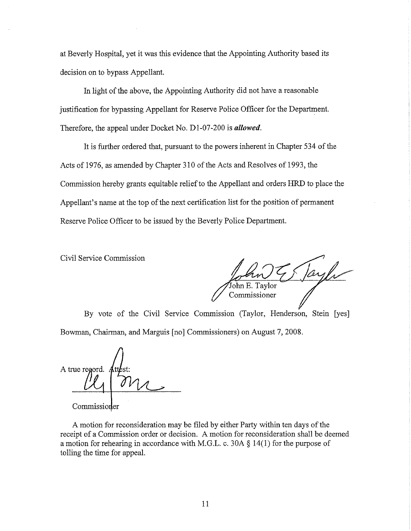at Beverly Hospital, yet it was this evidence that the Appointing Authority based its decision on to bypass Appellant.

In light of the above, the Appointing Authority did not have a reasonable justification for bypassing Appellant for Reserve Police Officer for the Department. Therefore, the appeal under Docket No. Dl-07-200 is *allowed.* 

It is further ordered that, pursuant to the powers inherent in Chapter 534 of the Acts of 1976, as amended by Chapter 310 of the Acts and Resolves of 1993, the Commission hereby grants equitable relief to the Appellant and orders HRD to place the Appellant's name at the top of the next certification list for the position of permanent Reserve Police Officer to be issued by the Beverly Police Department.

Civil Service Commission

ohn E. Tavlor Commissioner

By vote of the Civil Service Commission (Taylor, Henderson, Stein [yes] Bowman, Chairman, and Marguis [no] Commissioners) on August 7, 2008.

A true regord.

Commissioner

A motion for reconsideration may be filed by either Party within ten days of the receipt of a Commission order or decision. A motion for reconsideration shall be deemed a motion for rehearing in accordance with M.G.L. c. 30A § 14(1) for the purpose of tolling the time for appeal.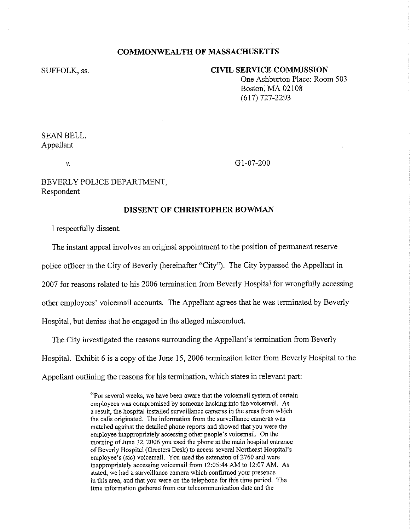### **COMMONWEALTH OF MASSACHUSETTS**

SUFFOLK, ss.

# **CIVIL SERVICE COMMISSION**

One Ashburton Place: Room 503 Boston, MA 02108 (617) 727-2293

SEAN BELL, Appellant

V.

01-07-200

BEVERLY POLICE DEPARTMENT, Respondent

#### **DISSENT OF CHRISTOPHER BOWMAN**

I respectfully dissent.

The instant appeal involves an original appointment to the position of permanent reserve

police officer in the City of Beverly (hereinafter "City"). The City bypassed the Appellant in

2007 for reasons related to his 2006 termination from Beverly Hospital for wrongfully accessing

other employees' voicemail accounts. The Appellant agrees that he was terminated by Beverly

Hospital, but denies that he engaged in the alleged misconduct.

The City investigated the reasons surrounding the Appellant's termination from Beverly Hospital. Exhibit 6 is a copy of the June 15, 2006 termination letter from Beverly Hospital to the Appellant outlining the reasons for his termination, which states in relevant part:

> "For several weeks, we have been aware that the voicemail system of certain employees was compromised by someone hacking into the voicemail. As a result, the hospital installed surveillance cameras in the areas from which the calls originated. The information from the surveillance cameras was matched against the detailed phone reports and showed that you were the employee inappropriately accessing other people's voicemail. On the morning of June 12, 2006 you used the phone at the main hospital entrance of Beverly Hospital (Greeters Desk) to access several Northeast Hospital's employee's (sic) voicemail. You used the extension of 2760 and were inappropriately accessing voicemail from 12:05:44 AM to 12:07 AM. As stated, we had a surveillance camera which confirmed your presence in this area, and that you were on the telephone for this time period. The time information gathered from our telecommunication date and the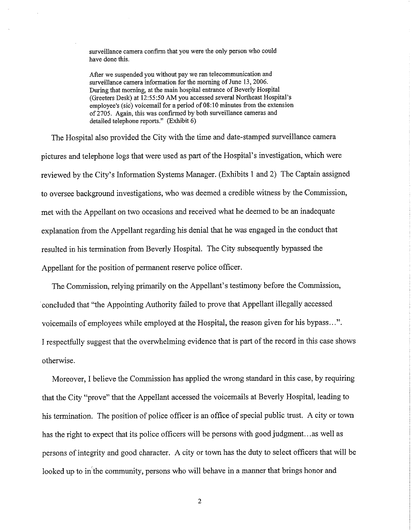surveillance camera confirm that you were the only person who could have done this.

After we suspended you without pay we ran telecommunication and surveillance camera information for the morning of June 13, 2006. During that morning, at the main hospital entrance of Beverly Hospital (Greeters Desk) at 12:55:50 AM you accessed several Northeast Hospital's employee's (sic) voicemail for a period of 08:10 minutes from the extension of 2705. Again, this was confinned by both surveillance cameras and detailed telephone reports." (Exhibit 6)

The Hospital also provided the City with the time and date-stamped surveillance camera pictures and telephone logs that were used as part of the Hospital's investigation, which were reviewed by the City's Information Systems Manager. (Exhibits 1 and 2) The Captain assigned to oversee background investigations, who was deemed a credible witness by the Commission, met with the Appellant on two occasions and received what he deemed to be an inadequate explanation from the Appellant regarding his denial that he was engaged in the conduct that resulted in his termination from Beverly Hospital. The City subsequently bypassed the Appellant for the position of permanent reserve police officer.

The Commission, relying primarily on the Appellant's testimony before the Commission, concluded that "the Appointing Authority failed to prove that Appellant illegally accessed voicemails of employees while employed at the Hospital, the reason given for his bypass ... ". I respectfully suggest that the overwhelming evidence that is part of the record in this case shows otherwise.

Moreover, I believe the Commission has applied the wrong standard in this case, by requiring that the City "prove" that the Appellant accessed the voicemails at Beverly Hospital, leading to his termination. The position of police officer is an office of special public trust. A city or town has the right to expect that its police officers will be persons with good judgment...as well as persons of integrity and good character. A city or town has the duty to select officers that will be looked up to in the community, persons who will behave in a manner that brings honor and